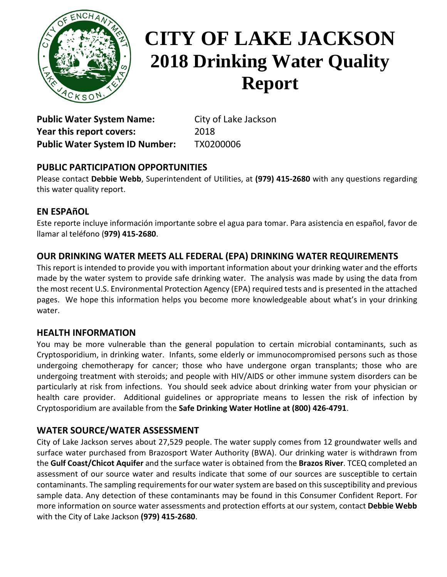

# **CITY OF LAKE JACKSON 2018 Drinking Water Quality Report**

Public Water System Name: City of Lake Jackson **Year this report covers:** 2018 **Public Water System ID Number:** TX0200006

## **PUBLIC PARTICIPATION OPPORTUNITIES**

Please contact **Debbie Webb**, Superintendent of Utilities, at **(979) 415-2680** with any questions regarding this water quality report.

### **EN ESPAñOL**

Este reporte incluye información importante sobre el agua para tomar. Para asistencia en español, favor de llamar al teléfono (**979) 415-2680**.

### **OUR DRINKING WATER MEETS ALL FEDERAL (EPA) DRINKING WATER REQUIREMENTS**

This report is intended to provide you with important information about your drinking water and the efforts made by the water system to provide safe drinking water. The analysis was made by using the data from the most recent U.S. Environmental Protection Agency (EPA) required tests and is presented in the attached pages. We hope this information helps you become more knowledgeable about what's in your drinking water.

### **HEALTH INFORMATION**

You may be more vulnerable than the general population to certain microbial contaminants, such as Cryptosporidium, in drinking water. Infants, some elderly or immunocompromised persons such as those undergoing chemotherapy for cancer; those who have undergone organ transplants; those who are undergoing treatment with steroids; and people with HIV/AIDS or other immune system disorders can be particularly at risk from infections. You should seek advice about drinking water from your physician or health care provider. Additional guidelines or appropriate means to lessen the risk of infection by Cryptosporidium are available from the **Safe Drinking Water Hotline at (800) 426-4791**.

### **WATER SOURCE/WATER ASSESSMENT**

City of Lake Jackson serves about 27,529 people. The water supply comes from 12 groundwater wells and surface water purchased from Brazosport Water Authority (BWA). Our drinking water is withdrawn from the **Gulf Coast/Chicot Aquifer** and the surface water is obtained from the **Brazos River**. TCEQ completed an assessment of our source water and results indicate that some of our sources are susceptible to certain contaminants. The sampling requirements for our water system are based on this susceptibility and previous sample data. Any detection of these contaminants may be found in this Consumer Confident Report. For more information on source water assessments and protection efforts at our system, contact **Debbie Webb** with the City of Lake Jackson **(979) 415-2680**.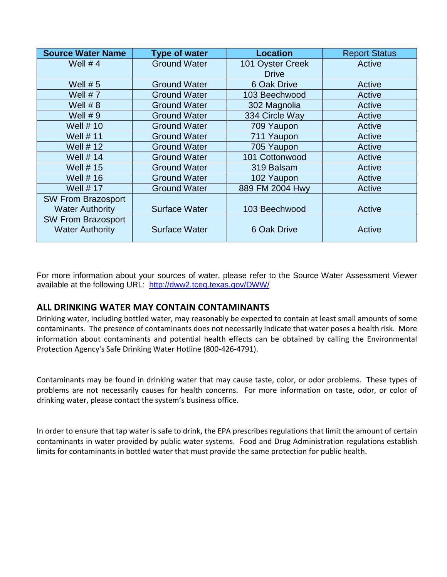| <b>Source Water Name</b>  | <b>Type of water</b> | <b>Location</b>  | <b>Report Status</b> |
|---------------------------|----------------------|------------------|----------------------|
| Well $# 4$                | <b>Ground Water</b>  | 101 Oyster Creek | Active               |
|                           |                      | <b>Drive</b>     |                      |
| Well $# 5$                | <b>Ground Water</b>  | 6 Oak Drive      | Active               |
| Well $# 7$                | <b>Ground Water</b>  | 103 Beechwood    | Active               |
| Well $# 8$                | <b>Ground Water</b>  | 302 Magnolia     | Active               |
| Well $# 9$                | <b>Ground Water</b>  | 334 Circle Way   | Active               |
| <b>Well #10</b>           | <b>Ground Water</b>  | 709 Yaupon       | Active               |
| Well $# 11$               | <b>Ground Water</b>  | 711 Yaupon       | Active               |
| Well $# 12$               | <b>Ground Water</b>  | 705 Yaupon       | Active               |
| Well $# 14$               | <b>Ground Water</b>  | 101 Cottonwood   | Active               |
| Well $# 15$               | <b>Ground Water</b>  | 319 Balsam       | Active               |
| Well $# 16$               | <b>Ground Water</b>  | 102 Yaupon       | Active               |
| <b>Well #17</b>           | <b>Ground Water</b>  | 889 FM 2004 Hwy  | Active               |
| <b>SW From Brazosport</b> |                      |                  |                      |
| <b>Water Authority</b>    | <b>Surface Water</b> | 103 Beechwood    | Active               |
| <b>SW From Brazosport</b> |                      |                  |                      |
| <b>Water Authority</b>    | <b>Surface Water</b> | 6 Oak Drive      | Active               |

For more information about your sources of water, please refer to the Source Water Assessment Viewer available at the following URL: <http://dww2.tceq.texas.gov/DWW/>

#### **ALL DRINKING WATER MAY CONTAIN CONTAMINANTS**

Drinking water, including bottled water, may reasonably be expected to contain at least small amounts of some contaminants. The presence of contaminants does not necessarily indicate that water poses a health risk. More information about contaminants and potential health effects can be obtained by calling the Environmental Protection Agency's Safe Drinking Water Hotline (800-426-4791).

Contaminants may be found in drinking water that may cause taste, color, or odor problems. These types of problems are not necessarily causes for health concerns. For more information on taste, odor, or color of drinking water, please contact the system's business office.

In order to ensure that tap water is safe to drink, the EPA prescribes regulations that limit the amount of certain contaminants in water provided by public water systems. Food and Drug Administration regulations establish limits for contaminants in bottled water that must provide the same protection for public health.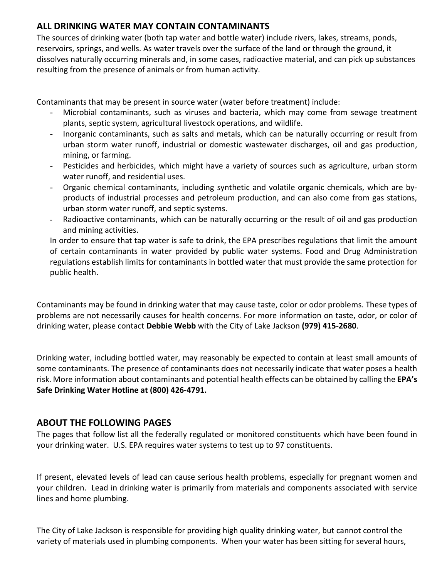#### **ALL DRINKING WATER MAY CONTAIN CONTAMINANTS**

The sources of drinking water (both tap water and bottle water) include rivers, lakes, streams, ponds, reservoirs, springs, and wells. As water travels over the surface of the land or through the ground, it dissolves naturally occurring minerals and, in some cases, radioactive material, and can pick up substances resulting from the presence of animals or from human activity.

Contaminants that may be present in source water (water before treatment) include:

- Microbial contaminants, such as viruses and bacteria, which may come from sewage treatment plants, septic system, agricultural livestock operations, and wildlife.
- Inorganic contaminants, such as salts and metals, which can be naturally occurring or result from urban storm water runoff, industrial or domestic wastewater discharges, oil and gas production, mining, or farming.
- Pesticides and herbicides, which might have a variety of sources such as agriculture, urban storm water runoff, and residential uses.
- Organic chemical contaminants, including synthetic and volatile organic chemicals, which are byproducts of industrial processes and petroleum production, and can also come from gas stations, urban storm water runoff, and septic systems.
- Radioactive contaminants, which can be naturally occurring or the result of oil and gas production and mining activities.

In order to ensure that tap water is safe to drink, the EPA prescribes regulations that limit the amount of certain contaminants in water provided by public water systems. Food and Drug Administration regulations establish limits for contaminants in bottled water that must provide the same protection for public health.

Contaminants may be found in drinking water that may cause taste, color or odor problems. These types of problems are not necessarily causes for health concerns. For more information on taste, odor, or color of drinking water, please contact **Debbie Webb** with the City of Lake Jackson **(979) 415-2680**.

Drinking water, including bottled water, may reasonably be expected to contain at least small amounts of some contaminants. The presence of contaminants does not necessarily indicate that water poses a health risk. More information about contaminants and potential health effects can be obtained by calling the **EPA's Safe Drinking Water Hotline at (800) 426-4791.**

### **ABOUT THE FOLLOWING PAGES**

The pages that follow list all the federally regulated or monitored constituents which have been found in your drinking water. U.S. EPA requires water systems to test up to 97 constituents.

If present, elevated levels of lead can cause serious health problems, especially for pregnant women and your children. Lead in drinking water is primarily from materials and components associated with service lines and home plumbing.

The City of Lake Jackson is responsible for providing high quality drinking water, but cannot control the variety of materials used in plumbing components. When your water has been sitting for several hours,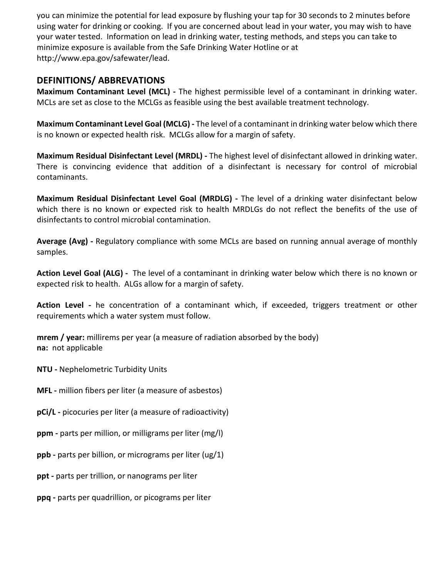you can minimize the potential for lead exposure by flushing your tap for 30 seconds to 2 minutes before using water for drinking or cooking. If you are concerned about lead in your water, you may wish to have your water tested. Information on lead in drinking water, testing methods, and steps you can take to minimize exposure is available from the Safe Drinking Water Hotline or at http://www.epa.gov/safewater/lead.

#### **DEFINITIONS/ ABBREVATIONS**

**Maximum Contaminant Level (MCL) -** The highest permissible level of a contaminant in drinking water. MCLs are set as close to the MCLGs as feasible using the best available treatment technology.

**Maximum Contaminant Level Goal (MCLG) -** The level of a contaminant in drinking water below which there is no known or expected health risk. MCLGs allow for a margin of safety.

**Maximum Residual Disinfectant Level (MRDL) -** The highest level of disinfectant allowed in drinking water. There is convincing evidence that addition of a disinfectant is necessary for control of microbial contaminants.

**Maximum Residual Disinfectant Level Goal (MRDLG) -** The level of a drinking water disinfectant below which there is no known or expected risk to health MRDLGs do not reflect the benefits of the use of disinfectants to control microbial contamination.

**Average (Avg) -** Regulatory compliance with some MCLs are based on running annual average of monthly samples.

**Action Level Goal (ALG) -** The level of a contaminant in drinking water below which there is no known or expected risk to health. ALGs allow for a margin of safety.

**Action Level -** he concentration of a contaminant which, if exceeded, triggers treatment or other requirements which a water system must follow.

**mrem / year:** millirems per year (a measure of radiation absorbed by the body) **na:** not applicable

**NTU -** Nephelometric Turbidity Units

**MFL -** million fibers per liter (a measure of asbestos)

**pCi/L -** picocuries per liter (a measure of radioactivity)

**ppm -** parts per million, or milligrams per liter (mg/l)

**ppb -** parts per billion, or micrograms per liter (ug/1)

**ppt -** parts per trillion, or nanograms per liter

**ppq -** parts per quadrillion, or picograms per liter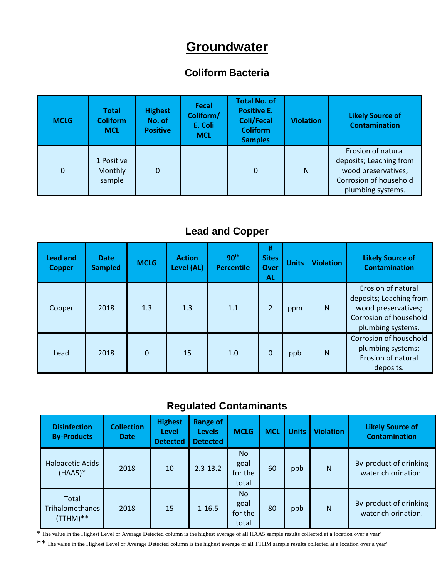# **Groundwater**

## **Coliform Bacteria**

| <b>MCLG</b>    | <b>Total</b><br><b>Coliform</b><br><b>MCL</b> | <b>Highest</b><br>No. of<br><b>Positive</b> | <b>Fecal</b><br>Coliform/<br>E. Coli<br><b>MCL</b> | <b>Total No. of</b><br><b>Positive E.</b><br><b>Coli/Fecal</b><br><b>Coliform</b><br><b>Samples</b> | <b>Violation</b> | <b>Likely Source of</b><br><b>Contamination</b>                                                                     |
|----------------|-----------------------------------------------|---------------------------------------------|----------------------------------------------------|-----------------------------------------------------------------------------------------------------|------------------|---------------------------------------------------------------------------------------------------------------------|
| $\overline{0}$ | 1 Positive<br>Monthly<br>sample               | 0                                           |                                                    | $\mathbf 0$                                                                                         | N                | Erosion of natural<br>deposits; Leaching from<br>wood preservatives;<br>Corrosion of household<br>plumbing systems. |

# **Lead and Copper**

| <b>Lead and</b><br><b>Copper</b> | <b>Date</b><br><b>Sampled</b> | <b>MCLG</b> | <b>Action</b><br>Level (AL) | 90 <sup>th</sup><br><b>Percentile</b> | #<br><b>Sites</b><br><b>Over</b><br><b>AL</b> | <b>Units</b> | <b>Violation</b> | <b>Likely Source of</b><br><b>Contamination</b>                                                                     |
|----------------------------------|-------------------------------|-------------|-----------------------------|---------------------------------------|-----------------------------------------------|--------------|------------------|---------------------------------------------------------------------------------------------------------------------|
| Copper                           | 2018                          | 1.3         | 1.3                         | 1.1                                   | $\overline{2}$                                | ppm          | N                | Erosion of natural<br>deposits; Leaching from<br>wood preservatives;<br>Corrosion of household<br>plumbing systems. |
| Lead                             | 2018                          | $\Omega$    | 15                          | 1.0                                   | $\Omega$                                      | ppb          | N                | Corrosion of household<br>plumbing systems;<br>Erosion of natural<br>deposits.                                      |

# **Regulated Contaminants**

| <b>Disinfection</b><br><b>By-Products</b> | <b>Collection</b><br><b>Date</b> | <b>Highest</b><br>Level<br><b>Detected</b> | <b>Range of</b><br><b>Levels</b><br><b>Detected</b> | <b>MCLG</b>                           | <b>MCL</b> | <b>Units</b> | <b>Violation</b> | <b>Likely Source of</b><br><b>Contamination</b> |
|-------------------------------------------|----------------------------------|--------------------------------------------|-----------------------------------------------------|---------------------------------------|------------|--------------|------------------|-------------------------------------------------|
| <b>Haloacetic Acids</b><br>$(HAA5)*$      | 2018                             | 10                                         | $2.3 - 13.2$                                        | <b>No</b><br>goal<br>for the<br>total | 60         | ppb          | N                | By-product of drinking<br>water chlorination.   |
| Total<br>Trihalomethanes<br>(TTHM)**      | 2018                             | 15                                         | $1 - 16.5$                                          | <b>No</b><br>goal<br>for the<br>total | 80         | ppb          | N                | By-product of drinking<br>water chlorination.   |

\* The value in the Highest Level or Average Detected column is the highest average of all HAA5 sample results collected at a location over a year'

\*\* The value in the Highest Level or Average Detected column is the highest average of all TTHM sample results collected at a location over a year'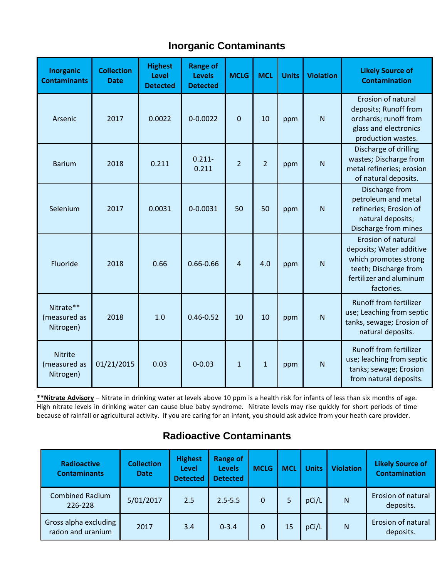# **Inorganic Contaminants**

| Inorganic<br><b>Contaminants</b>            | <b>Collection</b><br><b>Date</b> | <b>Highest</b><br><b>Level</b><br><b>Detected</b> | <b>Range of</b><br><b>Levels</b><br><b>Detected</b> | <b>MCLG</b>    | <b>MCL</b>     | <b>Units</b> | <b>Violation</b> | <b>Likely Source of</b><br><b>Contamination</b>                                                                                           |
|---------------------------------------------|----------------------------------|---------------------------------------------------|-----------------------------------------------------|----------------|----------------|--------------|------------------|-------------------------------------------------------------------------------------------------------------------------------------------|
| Arsenic                                     | 2017                             | 0.0022                                            | $0 - 0.0022$                                        | 0              | 10             | ppm          | N                | Erosion of natural<br>deposits; Runoff from<br>orchards; runoff from<br>glass and electronics<br>production wastes.                       |
| <b>Barium</b>                               | 2018                             | 0.211                                             | $0.211 -$<br>0.211                                  | $\overline{2}$ | $\overline{2}$ | ppm          | N                | Discharge of drilling<br>wastes; Discharge from<br>metal refineries; erosion<br>of natural deposits.                                      |
| Selenium                                    | 2017                             | 0.0031                                            | 0-0.0031                                            | 50             | 50             | ppm          | N                | Discharge from<br>petroleum and metal<br>refineries; Erosion of<br>natural deposits;<br>Discharge from mines                              |
| Fluoride                                    | 2018                             | 0.66                                              | $0.66 - 0.66$                                       | 4              | 4.0            | ppm          | N                | Erosion of natural<br>deposits; Water additive<br>which promotes strong<br>teeth; Discharge from<br>fertilizer and aluminum<br>factories. |
| Nitrate**<br>(measured as<br>Nitrogen)      | 2018                             | 1.0                                               | $0.46 - 0.52$                                       | 10             | 10             | ppm          | N                | <b>Runoff from fertilizer</b><br>use; Leaching from septic<br>tanks, sewage; Erosion of<br>natural deposits.                              |
| <b>Nitrite</b><br>(measured as<br>Nitrogen) | 01/21/2015                       | 0.03                                              | $0 - 0.03$                                          | $\mathbf{1}$   | $\mathbf{1}$   | ppm          | N                | <b>Runoff from fertilizer</b><br>use; leaching from septic<br>tanks; sewage; Erosion<br>from natural deposits.                            |

**\*\*Nitrate Advisory** – Nitrate in drinking water at levels above 10 ppm is a health risk for infants of less than six months of age. High nitrate levels in drinking water can cause blue baby syndrome. Nitrate levels may rise quickly for short periods of time because of rainfall or agricultural activity. If you are caring for an infant, you should ask advice from your heath care provider.

| <b>Radioactive</b><br><b>Contaminants</b>  | <b>Collection</b><br><b>Date</b> | <b>Highest</b><br>Level<br><b>Detected</b> | <b>Range of</b><br><b>Levels</b><br><b>Detected</b> | <b>MCLG</b> | <b>MCL</b> | <b>Units</b> | <b>Violation</b> | <b>Likely Source of</b><br><b>Contamination</b> |
|--------------------------------------------|----------------------------------|--------------------------------------------|-----------------------------------------------------|-------------|------------|--------------|------------------|-------------------------------------------------|
| <b>Combined Radium</b><br>226-228          | 5/01/2017                        | 2.5                                        | $2.5 - 5.5$                                         | 0           |            | pCi/L        | N                | Erosion of natural<br>deposits.                 |
| Gross alpha excluding<br>radon and uranium | 2017                             | 3.4                                        | $0 - 3.4$                                           | $\Omega$    | 15         | pCi/L        | N                | Erosion of natural<br>deposits.                 |

## **Radioactive Contaminants**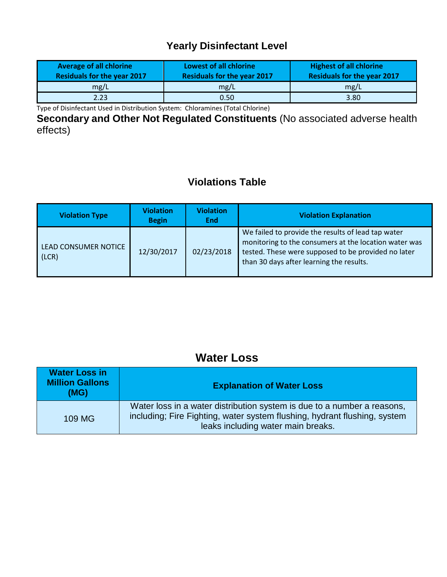# **Yearly Disinfectant Level**

| <b>Average of all chlorine</b><br><b>Residuals for the year 2017</b> | Lowest of all chlorine<br><b>Residuals for the year 2017</b> | <b>Highest of all chlorine</b><br><b>Residuals for the year 2017</b> |
|----------------------------------------------------------------------|--------------------------------------------------------------|----------------------------------------------------------------------|
| mg/L                                                                 | mg/L                                                         | mg/L                                                                 |
| 2.23                                                                 | 0.50                                                         | 3.80                                                                 |

Type of Disinfectant Used in Distribution System: Chloramines (Total Chlorine)

**Secondary and Other Not Regulated Constituents** (No associated adverse health effects)

## **Violations Table**

| <b>Violation Type</b>                | <b>Violation</b><br><b>Begin</b> | <b>Violation</b><br><b>End</b> | <b>Violation Explanation</b>                                                                                                                                                                                   |
|--------------------------------------|----------------------------------|--------------------------------|----------------------------------------------------------------------------------------------------------------------------------------------------------------------------------------------------------------|
| <b>LEAD CONSUMER NOTICE</b><br>(LCR) | 12/30/2017                       | 02/23/2018                     | We failed to provide the results of lead tap water<br>monitoring to the consumers at the location water was<br>tested. These were supposed to be provided no later<br>than 30 days after learning the results. |

# **Water Loss**

| <b>Water Loss in</b><br><b>Million Gallons</b><br>(MG) | <b>Explanation of Water Loss</b>                                                                                                                                                           |
|--------------------------------------------------------|--------------------------------------------------------------------------------------------------------------------------------------------------------------------------------------------|
| 109 MG                                                 | Water loss in a water distribution system is due to a number a reasons,<br>including; Fire Fighting, water system flushing, hydrant flushing, system<br>leaks including water main breaks. |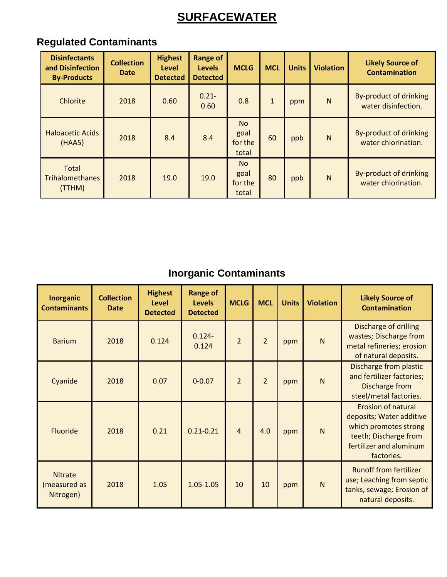# **SURFACEWATER**

# **Regulated Contaminants**

| <b>Disinfectants</b><br>and Disinfection<br><b>By-Products</b> | <b>Collection</b><br><b>Date</b> | <b>Highest</b><br>Level<br><b>Detected</b> | <b>Range of</b><br><b>Levels</b><br><b>Detected</b> | <b>MCLG</b>                           | <b>MCL</b>   | <b>Units</b> | <b>Violation</b> | <b>Likely Source of</b><br><b>Contamination</b> |
|----------------------------------------------------------------|----------------------------------|--------------------------------------------|-----------------------------------------------------|---------------------------------------|--------------|--------------|------------------|-------------------------------------------------|
| Chlorite                                                       | 2018                             | 0.60                                       | $0.21 -$<br>0.60                                    | 0.8                                   | $\mathbf{1}$ | ppm          | N                | By-product of drinking<br>water disinfection.   |
| <b>Haloacetic Acids</b><br>(HAA5)                              | 2018                             | 8.4                                        | 8.4                                                 | <b>No</b><br>goal<br>for the<br>total | 60           | ppb          | N                | By-product of drinking<br>water chlorination.   |
| <b>Total</b><br><b>Trihalomethanes</b><br>(TTHM)               | 2018                             | 19.0                                       | 19.0                                                | <b>No</b><br>goal<br>for the<br>total | 80           | ppb          | $\mathsf{N}$     | By-product of drinking<br>water chlorination.   |

# **Inorganic Contaminants**

| <b>Inorganic</b><br><b>Contaminants</b>     | <b>Collection</b><br><b>Date</b> | <b>Highest</b><br>Level<br><b>Detected</b> | <b>Range of</b><br><b>Levels</b><br><b>Detected</b> | <b>MCLG</b>    | <b>MCL</b>     | <b>Units</b> | <b>Violation</b> | <b>Likely Source of</b><br><b>Contamination</b>                                                                                                  |
|---------------------------------------------|----------------------------------|--------------------------------------------|-----------------------------------------------------|----------------|----------------|--------------|------------------|--------------------------------------------------------------------------------------------------------------------------------------------------|
| <b>Barium</b>                               | 2018                             | 0.124                                      | $0.124 -$<br>0.124                                  | $\overline{2}$ | $\overline{2}$ | ppm          | N                | Discharge of drilling<br>wastes; Discharge from<br>metal refineries; erosion<br>of natural deposits.                                             |
| Cyanide                                     | 2018                             | 0.07                                       | $0 - 0.07$                                          | $\overline{2}$ | $\overline{2}$ | ppm          | N                | Discharge from plastic<br>and fertilizer factories;<br>Discharge from<br>steel/metal factories.                                                  |
| Fluoride                                    | 2018                             | 0.21                                       | $0.21 - 0.21$                                       | $\overline{4}$ | 4.0            | ppm          | N                | <b>Erosion of natural</b><br>deposits; Water additive<br>which promotes strong<br>teeth; Discharge from<br>fertilizer and aluminum<br>factories. |
| <b>Nitrate</b><br>(measured as<br>Nitrogen) | 2018                             | 1.05                                       | $1.05 - 1.05$                                       | 10             | 10             | ppm          | N                | <b>Runoff from fertilizer</b><br>use; Leaching from septic<br>tanks, sewage; Erosion of<br>natural deposits.                                     |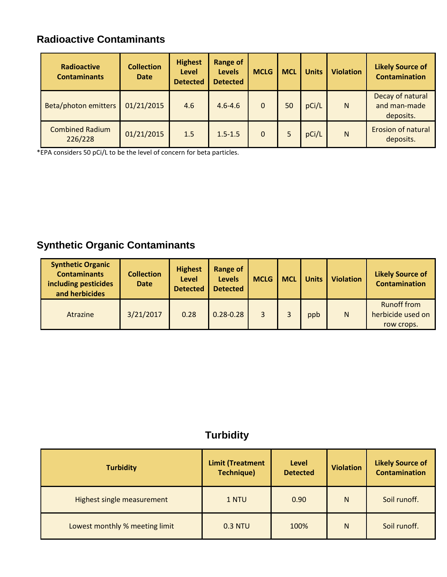# **Radioactive Contaminants**

| Radioactive<br><b>Contaminants</b> | <b>Collection</b><br>Date | <b>Highest</b><br><b>Level</b><br><b>Detected</b> | <b>Range of</b><br><b>Levels</b><br><b>Detected</b> | <b>MCLG</b>  | <b>MCL</b> | <b>Units</b> | <b>Violation</b> | <b>Likely Source of</b><br><b>Contamination</b> |
|------------------------------------|---------------------------|---------------------------------------------------|-----------------------------------------------------|--------------|------------|--------------|------------------|-------------------------------------------------|
| Beta/photon emitters               | 01/21/2015                | 4.6                                               | $4.6 - 4.6$                                         | 0            | 50         | pCi/L        | N                | Decay of natural<br>and man-made<br>deposits.   |
| <b>Combined Radium</b><br>226/228  | 01/21/2015                | 1.5                                               | $1.5 - 1.5$                                         | $\mathbf{0}$ |            | pCi/L        | N                | <b>Erosion of natural</b><br>deposits.          |

\*EPA considers 50 pCi/L to be the level of concern for beta particles.

# **Synthetic Organic Contaminants**

| <b>Synthetic Organic</b><br><b>Contaminants</b><br>including pesticides<br>and herbicides | <b>Collection</b><br><b>Date</b> | <b>Highest</b><br><b>Level</b><br><b>Detected</b> | <b>Range of</b><br><b>Levels</b><br><b>Detected</b> | <b>MCLG</b> | <b>MCL</b> | <b>Units</b> | <b>Violation</b> | <b>Likely Source of</b><br><b>Contamination</b>       |
|-------------------------------------------------------------------------------------------|----------------------------------|---------------------------------------------------|-----------------------------------------------------|-------------|------------|--------------|------------------|-------------------------------------------------------|
| Atrazine                                                                                  | 3/21/2017                        | 0.28                                              | $0.28 - 0.28$                                       | 3           |            | ppb          | N                | <b>Runoff from</b><br>herbicide used on<br>row crops. |

# **Turbidity**

| <b>Turbidity</b>               | <b>Limit (Treatment</b><br><b>Technique)</b> | <b>Level</b><br><b>Detected</b> | <b>Violation</b> | <b>Likely Source of</b><br><b>Contamination</b> |
|--------------------------------|----------------------------------------------|---------------------------------|------------------|-------------------------------------------------|
| Highest single measurement     | 1 NTU                                        | 0.90                            | N                | Soil runoff.                                    |
| Lowest monthly % meeting limit | 0.3 NTU                                      | 100%                            | N                | Soil runoff.                                    |